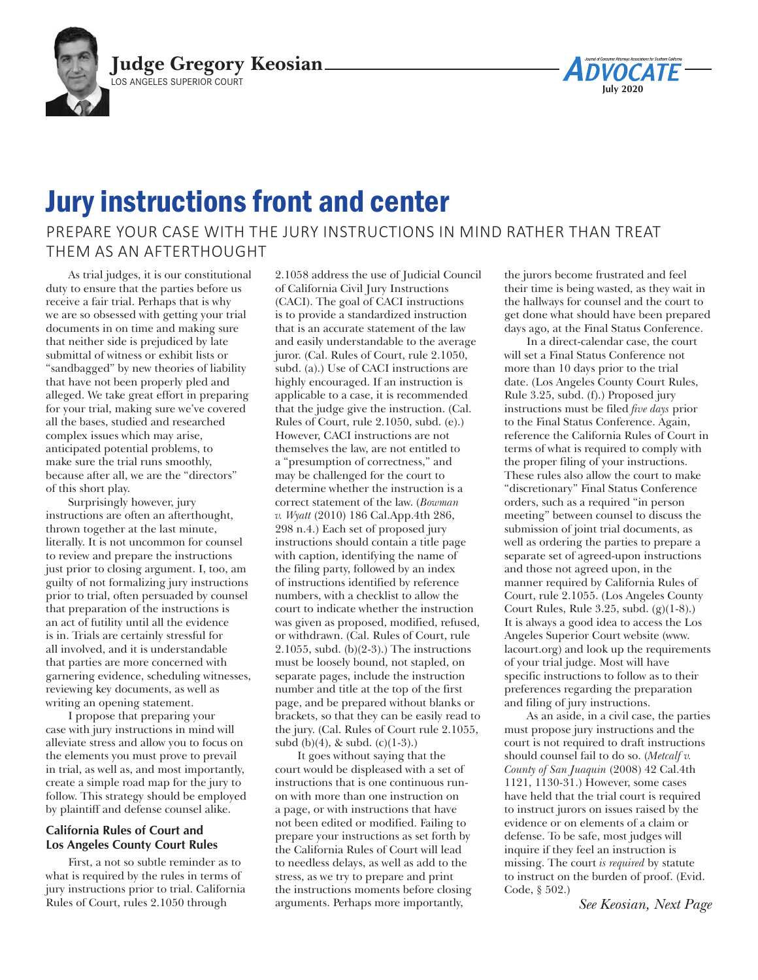

## Jury instructions front and center

PREPARE YOUR CASE WITH THE JURY INSTRUCTIONS IN MIND RATHER THAN TREAT THEM AS AN AFTERTHOUGHT

As trial judges, it is our constitutional duty to ensure that the parties before us receive a fair trial. Perhaps that is why we are so obsessed with getting your trial documents in on time and making sure that neither side is prejudiced by late submittal of witness or exhibit lists or "sandbagged" by new theories of liability that have not been properly pled and alleged. We take great effort in preparing for your trial, making sure we've covered all the bases, studied and researched complex issues which may arise, anticipated potential problems, to make sure the trial runs smoothly, because after all, we are the "directors" of this short play.

Surprisingly however, jury instructions are often an afterthought, thrown together at the last minute, literally. It is not uncommon for counsel to review and prepare the instructions just prior to closing argument. I, too, am guilty of not formalizing jury instructions prior to trial, often persuaded by counsel that preparation of the instructions is an act of futility until all the evidence is in. Trials are certainly stressful for all involved, and it is understandable that parties are more concerned with garnering evidence, scheduling witnesses, reviewing key documents, as well as writing an opening statement.

I propose that preparing your case with jury instructions in mind will alleviate stress and allow you to focus on the elements you must prove to prevail in trial, as well as, and most importantly, create a simple road map for the jury to follow. This strategy should be employed by plaintiff and defense counsel alike.

## **California Rules of Court and Los Angeles County Court Rules**

First, a not so subtle reminder as to what is required by the rules in terms of jury instructions prior to trial. California Rules of Court, rules 2.1050 through

2.1058 address the use of Judicial Council of California Civil Jury Instructions (CACI). The goal of CACI instructions is to provide a standardized instruction that is an accurate statement of the law and easily understandable to the average juror. (Cal. Rules of Court, rule 2.1050, subd. (a).) Use of CACI instructions are highly encouraged. If an instruction is applicable to a case, it is recommended that the judge give the instruction. (Cal. Rules of Court, rule 2.1050, subd. (e).) However, CACI instructions are not themselves the law, are not entitled to a "presumption of correctness," and may be challenged for the court to determine whether the instruction is a correct statement of the law. (*Bowman v. Wyatt* (2010) 186 Cal.App.4th 286, 298 n.4.) Each set of proposed jury instructions should contain a title page with caption, identifying the name of the filing party, followed by an index of instructions identified by reference numbers, with a checklist to allow the court to indicate whether the instruction was given as proposed, modified, refused, or withdrawn. (Cal. Rules of Court, rule 2.1055, subd.  $(b)(2-3)$ .) The instructions must be loosely bound, not stapled, on separate pages, include the instruction number and title at the top of the first page, and be prepared without blanks or brackets, so that they can be easily read to the jury. (Cal. Rules of Court rule 2.1055, subd  $(b)(4)$ , & subd.  $(c)(1-3)$ .)

It goes without saying that the court would be displeased with a set of instructions that is one continuous runon with more than one instruction on a page, or with instructions that have not been edited or modified. Failing to prepare your instructions as set forth by the California Rules of Court will lead to needless delays, as well as add to the stress, as we try to prepare and print the instructions moments before closing arguments. Perhaps more importantly,

the jurors become frustrated and feel their time is being wasted, as they wait in the hallways for counsel and the court to get done what should have been prepared days ago, at the Final Status Conference.

**July 2020**

In a direct-calendar case, the court will set a Final Status Conference not more than 10 days prior to the trial date. (Los Angeles County Court Rules, Rule 3.25, subd. (f).) Proposed jury instructions must be filed *five days* prior to the Final Status Conference. Again, reference the California Rules of Court in terms of what is required to comply with the proper filing of your instructions. These rules also allow the court to make "discretionary" Final Status Conference orders, such as a required "in person meeting" between counsel to discuss the submission of joint trial documents, as well as ordering the parties to prepare a separate set of agreed-upon instructions and those not agreed upon, in the manner required by California Rules of Court, rule 2.1055. (Los Angeles County Court Rules, Rule 3.25, subd. (g)(1-8).) It is always a good idea to access the Los Angeles Superior Court website [\(www.](http://www.lacourt.org) [lacourt.org\)](http://www.lacourt.org) and look up the requirements of your trial judge. Most will have specific instructions to follow as to their preferences regarding the preparation and filing of jury instructions.

As an aside, in a civil case, the parties must propose jury instructions and the court is not required to draft instructions should counsel fail to do so. (*Metcalf v. County of San Juaquin* (2008) 42 Cal.4th 1121, 1130-31.) However, some cases have held that the trial court is required to instruct jurors on issues raised by the evidence or on elements of a claim or defense. To be safe, most judges will inquire if they feel an instruction is missing. The court *is required* by statute to instruct on the burden of proof. (Evid. Code, § 502.)

*See Keosian, Next Page*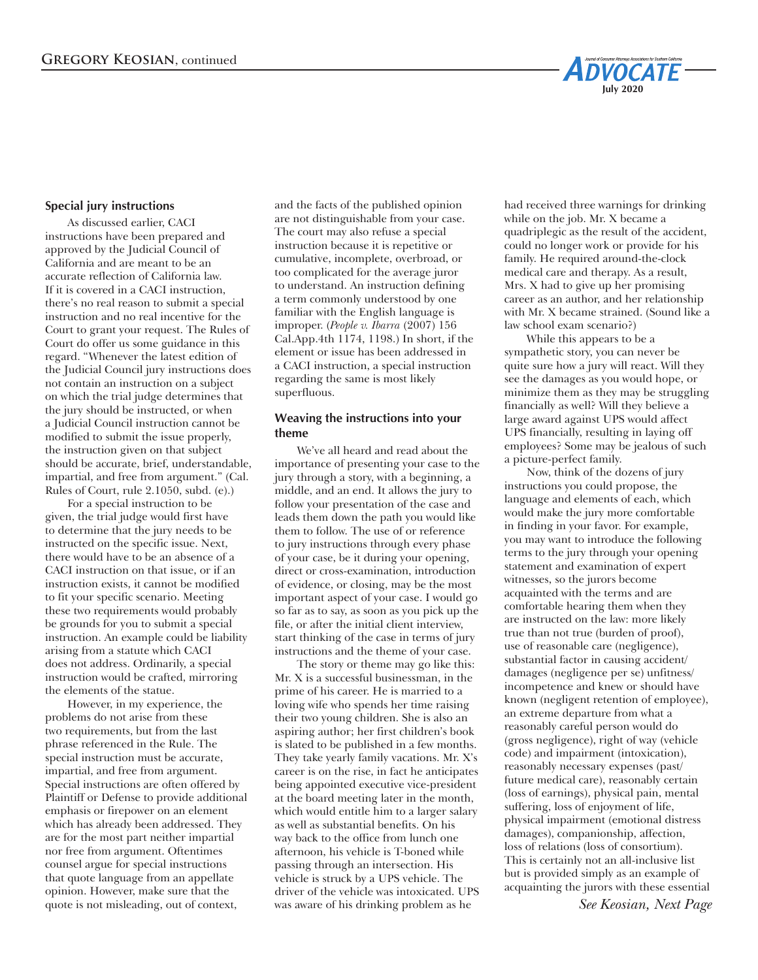

## **Special jury instructions**

As discussed earlier, CACI instructions have been prepared and approved by the Judicial Council of California and are meant to be an accurate reflection of California law. If it is covered in a CACI instruction, there's no real reason to submit a special instruction and no real incentive for the Court to grant your request. The Rules of Court do offer us some guidance in this regard. "Whenever the latest edition of the Judicial Council jury instructions does not contain an instruction on a subject on which the trial judge determines that the jury should be instructed, or when a Judicial Council instruction cannot be modified to submit the issue properly, the instruction given on that subject should be accurate, brief, understandable, impartial, and free from argument." (Cal. Rules of Court, rule 2.1050, subd. (e).)

For a special instruction to be given, the trial judge would first have to determine that the jury needs to be instructed on the specific issue. Next, there would have to be an absence of a CACI instruction on that issue, or if an instruction exists, it cannot be modified to fit your specific scenario. Meeting these two requirements would probably be grounds for you to submit a special instruction. An example could be liability arising from a statute which CACI does not address. Ordinarily, a special instruction would be crafted, mirroring the elements of the statue.

However, in my experience, the problems do not arise from these two requirements, but from the last phrase referenced in the Rule. The special instruction must be accurate, impartial, and free from argument. Special instructions are often offered by Plaintiff or Defense to provide additional emphasis or firepower on an element which has already been addressed. They are for the most part neither impartial nor free from argument. Oftentimes counsel argue for special instructions that quote language from an appellate opinion. However, make sure that the quote is not misleading, out of context,

and the facts of the published opinion are not distinguishable from your case. The court may also refuse a special instruction because it is repetitive or cumulative, incomplete, overbroad, or too complicated for the average juror to understand. An instruction defining a term commonly understood by one familiar with the English language is improper. (*People v. Ibarra* (2007) 156 Cal.App.4th 1174, 1198.) In short, if the element or issue has been addressed in a CACI instruction, a special instruction regarding the same is most likely superfluous.

## **Weaving the instructions into your theme**

We've all heard and read about the importance of presenting your case to the jury through a story, with a beginning, a middle, and an end. It allows the jury to follow your presentation of the case and leads them down the path you would like them to follow. The use of or reference to jury instructions through every phase of your case, be it during your opening, direct or cross-examination, introduction of evidence, or closing, may be the most important aspect of your case. I would go so far as to say, as soon as you pick up the file, or after the initial client interview, start thinking of the case in terms of jury instructions and the theme of your case.

The story or theme may go like this: Mr. X is a successful businessman, in the prime of his career. He is married to a loving wife who spends her time raising their two young children. She is also an aspiring author; her first children's book is slated to be published in a few months. They take yearly family vacations. Mr. X's career is on the rise, in fact he anticipates being appointed executive vice-president at the board meeting later in the month, which would entitle him to a larger salary as well as substantial benefits. On his way back to the office from lunch one afternoon, his vehicle is T-boned while passing through an intersection. His vehicle is struck by a UPS vehicle. The driver of the vehicle was intoxicated. UPS was aware of his drinking problem as he

had received three warnings for drinking while on the job. Mr. X became a quadriplegic as the result of the accident, could no longer work or provide for his family. He required around-the-clock medical care and therapy. As a result, Mrs. X had to give up her promising career as an author, and her relationship with Mr. X became strained. (Sound like a law school exam scenario?)

While this appears to be a sympathetic story, you can never be quite sure how a jury will react. Will they see the damages as you would hope, or minimize them as they may be struggling financially as well? Will they believe a large award against UPS would affect UPS financially, resulting in laying off employees? Some may be jealous of such a picture-perfect family.

Now, think of the dozens of jury instructions you could propose, the language and elements of each, which would make the jury more comfortable in finding in your favor. For example, you may want to introduce the following terms to the jury through your opening statement and examination of expert witnesses, so the jurors become acquainted with the terms and are comfortable hearing them when they are instructed on the law: more likely true than not true (burden of proof), use of reasonable care (negligence), substantial factor in causing accident/ damages (negligence per se) unfitness/ incompetence and knew or should have known (negligent retention of employee), an extreme departure from what a reasonably careful person would do (gross negligence), right of way (vehicle code) and impairment (intoxication), reasonably necessary expenses (past/ future medical care), reasonably certain (loss of earnings), physical pain, mental suffering, loss of enjoyment of life, physical impairment (emotional distress damages), companionship, affection, loss of relations (loss of consortium). This is certainly not an all-inclusive list but is provided simply as an example of acquainting the jurors with these essential

*See Keosian, Next Page*